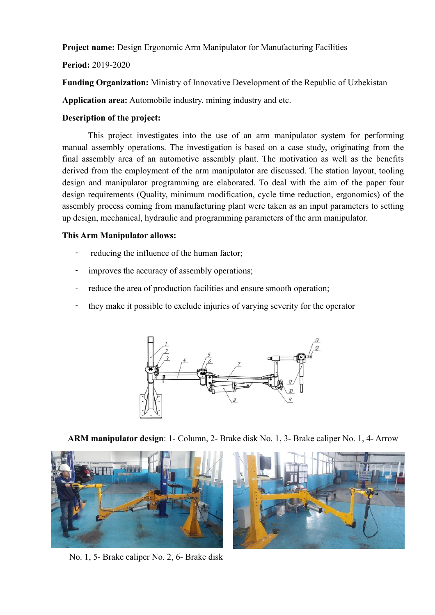**Project name:** Design Ergonomic Arm Manipulator for Manufacturing Facilities

## **Period:** 2019-2020

**Funding Organization:** Ministry of Innovative Development of the Republic of Uzbekistan

**Application area:** Automobile industry, mining industry and etc.

## **Description of the project:**

 This project investigates into the use of an arm manipulator system for performing manual assembly operations. The investigation is based on a case study, originating from the final assembly area of an automotive assembly plant. The motivation as well as the benefits derived from the employment of the arm manipulator are discussed. The station layout, tooling design and manipulator programming are elaborated. To deal with the aim of the paper four design requirements (Quality, minimum modification, cycle time reduction, ergonomics) of the assembly process coming from manufacturing plant were taken as an input parameters to setting up design, mechanical, hydraulic and programming parameters of the arm manipulator.

## **This Arm Manipulator allows:**

- reducing the influence of the human factor;
- improves the accuracy of assembly operations;
- reduce the area of production facilities and ensure smooth operation;
- they make it possible to exclude injuries of varying severity for the operator



**ARM manipulator design**: 1- Column, 2- Brake disk No. 1, 3- Brake caliper No. 1, 4- Arrow



No. 1, 5- Brake caliper No. 2, 6- Brake disk